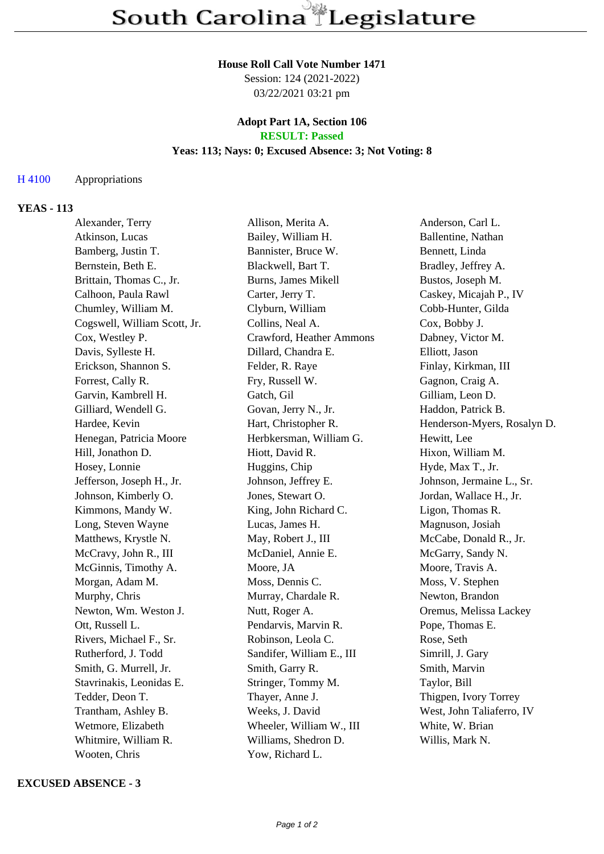#### **House Roll Call Vote Number 1471**

Session: 124 (2021-2022) 03/22/2021 03:21 pm

### **Adopt Part 1A, Section 106 RESULT: Passed**

# **Yeas: 113; Nays: 0; Excused Absence: 3; Not Voting: 8**

### H 4100 Appropriations

### **YEAS - 113**

| Alexander, Terry             | Allison, Merita A.        | Anderson, Carl L.           |
|------------------------------|---------------------------|-----------------------------|
| Atkinson, Lucas              | Bailey, William H.        | Ballentine, Nathan          |
| Bamberg, Justin T.           | Bannister, Bruce W.       | Bennett, Linda              |
| Bernstein, Beth E.           | Blackwell, Bart T.        | Bradley, Jeffrey A.         |
| Brittain, Thomas C., Jr.     | Burns, James Mikell       | Bustos, Joseph M.           |
| Calhoon, Paula Rawl          | Carter, Jerry T.          | Caskey, Micajah P., IV      |
| Chumley, William M.          | Clyburn, William          | Cobb-Hunter, Gilda          |
| Cogswell, William Scott, Jr. | Collins, Neal A.          | Cox, Bobby J.               |
| Cox, Westley P.              | Crawford, Heather Ammons  | Dabney, Victor M.           |
| Davis, Sylleste H.           | Dillard, Chandra E.       | Elliott, Jason              |
| Erickson, Shannon S.         | Felder, R. Raye           | Finlay, Kirkman, III        |
| Forrest, Cally R.            | Fry, Russell W.           | Gagnon, Craig A.            |
| Garvin, Kambrell H.          | Gatch, Gil                | Gilliam, Leon D.            |
| Gilliard, Wendell G.         | Govan, Jerry N., Jr.      | Haddon, Patrick B.          |
| Hardee, Kevin                | Hart, Christopher R.      | Henderson-Myers, Rosalyn D. |
| Henegan, Patricia Moore      | Herbkersman, William G.   | Hewitt, Lee                 |
| Hill, Jonathon D.            | Hiott, David R.           | Hixon, William M.           |
| Hosey, Lonnie                | Huggins, Chip             | Hyde, Max T., Jr.           |
| Jefferson, Joseph H., Jr.    | Johnson, Jeffrey E.       | Johnson, Jermaine L., Sr.   |
| Johnson, Kimberly O.         | Jones, Stewart O.         | Jordan, Wallace H., Jr.     |
| Kimmons, Mandy W.            | King, John Richard C.     | Ligon, Thomas R.            |
| Long, Steven Wayne           | Lucas, James H.           | Magnuson, Josiah            |
| Matthews, Krystle N.         | May, Robert J., III       | McCabe, Donald R., Jr.      |
| McCravy, John R., III        | McDaniel, Annie E.        | McGarry, Sandy N.           |
| McGinnis, Timothy A.         | Moore, JA                 | Moore, Travis A.            |
| Morgan, Adam M.              | Moss, Dennis C.           | Moss, V. Stephen            |
| Murphy, Chris                | Murray, Chardale R.       | Newton, Brandon             |
| Newton, Wm. Weston J.        | Nutt, Roger A.            | Oremus, Melissa Lackey      |
| Ott, Russell L.              | Pendarvis, Marvin R.      | Pope, Thomas E.             |
| Rivers, Michael F., Sr.      | Robinson, Leola C.        | Rose, Seth                  |
| Rutherford, J. Todd          | Sandifer, William E., III | Simrill, J. Gary            |
| Smith, G. Murrell, Jr.       | Smith, Garry R.           | Smith, Marvin               |
| Stavrinakis, Leonidas E.     | Stringer, Tommy M.        | Taylor, Bill                |
| Tedder, Deon T.              | Thayer, Anne J.           | Thigpen, Ivory Torrey       |
| Trantham, Ashley B.          | Weeks, J. David           | West, John Taliaferro, IV   |
| Wetmore, Elizabeth           | Wheeler, William W., III  | White, W. Brian             |
| Whitmire, William R.         | Williams, Shedron D.      | Willis, Mark N.             |
| Wooten, Chris                | Yow, Richard L.           |                             |

#### **EXCUSED ABSENCE - 3**